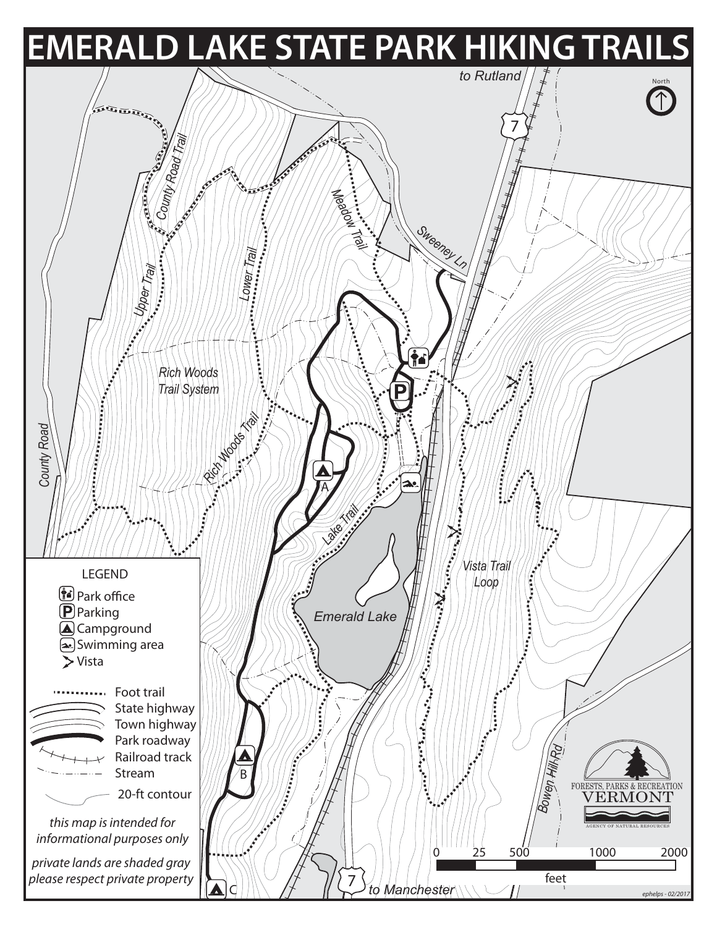